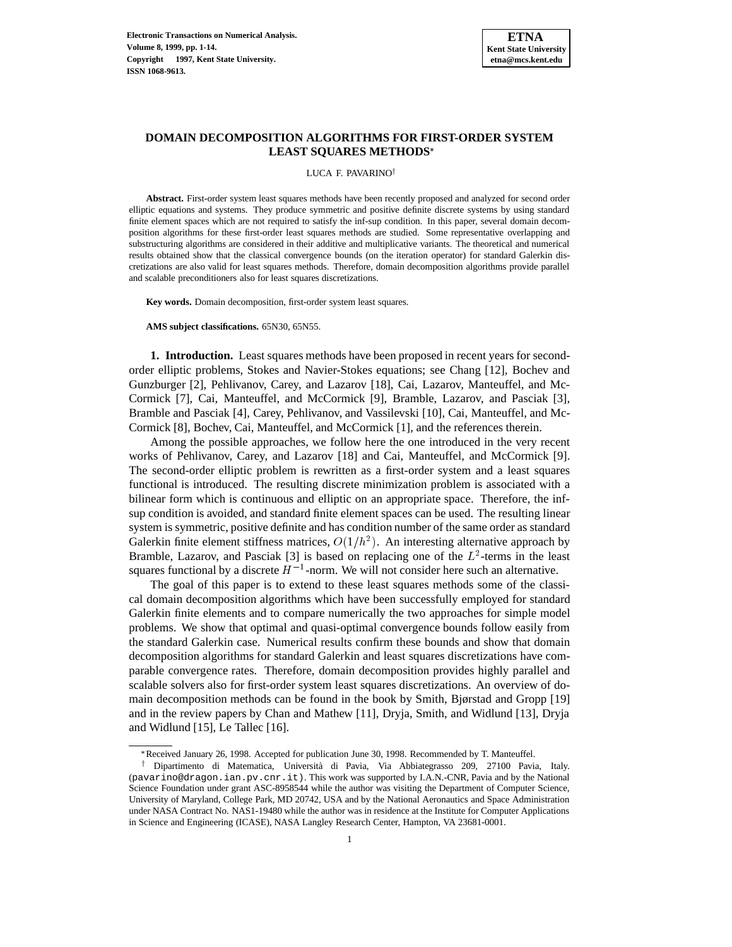

# **DOMAIN DECOMPOSITION ALGORITHMS FOR FIRST-ORDER SYSTEM LEAST SQUARES METHODS**

#### LUCA F. PAVARINO<sup>†</sup>

**Abstract.** First-order system least squares methods have been recently proposed and analyzed for second order elliptic equations and systems. They produce symmetric and positive definite discrete systems by using standard finite element spaces which are not required to satisfy the inf-sup condition. In this paper, several domain decomposition algorithms for these first-order least squares methods are studied. Some representative overlapping and substructuring algorithms are considered in their additive and multiplicative variants. The theoretical and numerical results obtained show that the classical convergence bounds (on the iteration operator) for standard Galerkin discretizations are also valid for least squares methods. Therefore, domain decomposition algorithms provide parallel and scalable preconditioners also for least squares discretizations.

**Key words.** Domain decomposition, first-order system least squares.

**AMS subject classifications.** 65N30, 65N55.

**1. Introduction.** Least squares methods have been proposed in recent years for secondorder elliptic problems, Stokes and Navier-Stokes equations; see Chang [12], Bochev and Gunzburger [2], Pehlivanov, Carey, and Lazarov [18], Cai, Lazarov, Manteuffel, and Mc-Cormick [7], Cai, Manteuffel, and McCormick [9], Bramble, Lazarov, and Pasciak [3], Bramble and Pasciak [4], Carey, Pehlivanov, and Vassilevski [10], Cai, Manteuffel, and Mc-Cormick [8], Bochev, Cai, Manteuffel, and McCormick [1], and the references therein.

Among the possible approaches, we follow here the one introduced in the very recent works of Pehlivanov, Carey, and Lazarov [18] and Cai, Manteuffel, and McCormick [9]. The second-order elliptic problem is rewritten as a first-order system and a least squares functional is introduced. The resulting discrete minimization problem is associated with a bilinear form which is continuous and elliptic on an appropriate space. Therefore, the infsup condition is avoided, and standard finite element spaces can be used. The resulting linear system is symmetric, positive definite and has condition number of the same order as standard Galerkin finite element stiffness matrices,  $O(1/h^2)$ . An interesting alternative approach by Bramble, Lazarov, and Pasciak  $[3]$  is based on replacing one of the  $L^2$ -terms in the least squares functional by a discrete  $H^{-1}$ -norm. We will not consider here such an alternative.

The goal of this paper is to extend to these least squares methods some of the classical domain decomposition algorithms which have been successfully employed for standard Galerkin finite elements and to compare numerically the two approaches for simple model problems. We show that optimal and quasi-optimal convergence bounds follow easily from the standard Galerkin case. Numerical results confirm these bounds and show that domain decomposition algorithms for standard Galerkin and least squares discretizations have comparable convergence rates. Therefore, domain decomposition provides highly parallel and scalable solvers also for first-order system least squares discretizations. An overview of domain decomposition methods can be found in the book by Smith, Bjørstad and Gropp [19] and in the review papers by Chan and Mathew [11], Dryja, Smith, and Widlund [13], Dryja and Widlund [15], Le Tallec [16].

<sup>\*</sup> Received January 26, 1998. Accepted for publication June 30, 1998. Recommended by T. Manteuffel.

<sup>&</sup>lt;sup>†</sup> Dipartimento di Matematica, Università di Pavia, Via Abbiategrasso 209, 27100 Pavia, Italy. (pavarino@dragon.ian.pv.cnr.it). This work was supported by I.A.N.-CNR, Pavia and by the National Science Foundation under grant ASC-8958544 while the author was visiting the Department of Computer Science, University of Maryland, College Park, MD 20742, USA and by the National Aeronautics and Space Administration under NASA Contract No. NAS1-19480 while the author was in residence at the Institute for Computer Applications in Science and Engineering (ICASE), NASA Langley Research Center, Hampton, VA 23681-0001.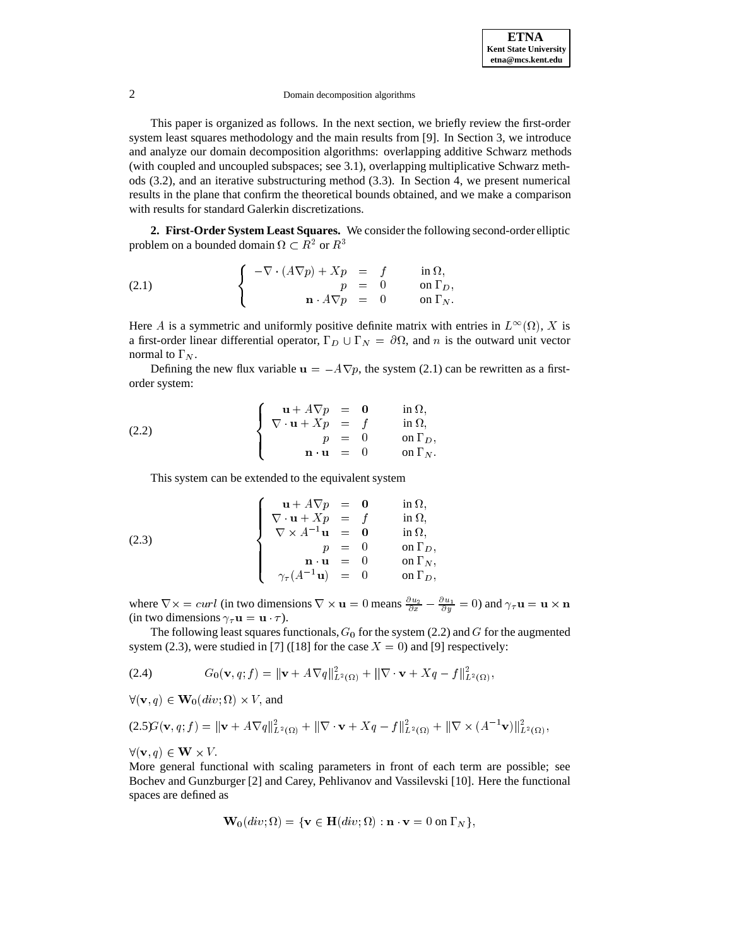This paper is organized as follows. In the next section, we briefly review the first-order system least squares methodology and the main results from [9]. In Section 3, we introduce and analyze our domain decomposition algorithms: overlapping additive Schwarz methods (with coupled and uncoupled subspaces; see 3.1), overlapping multiplicative Schwarz methods (3.2), and an iterative substructuring method (3.3). In Section 4, we present numerical results in the plane that confirm the theoretical bounds obtained, and we make a comparison with results for standard Galerkin discretizations.

**2. First-Order System Least Squares.** We consider the following second-order elliptic problem on a bounded domain  $\Omega \subset R^2$  or  $R^3$ 

(2.1) 
$$
\begin{cases}\n-\nabla \cdot (A\nabla p) + Xp &= f \text{ in } \Omega, \\
p &= 0 \text{ on } \Gamma_D, \\
n \cdot A\nabla p &= 0 \text{ on } \Gamma_N.\n\end{cases}
$$

Here A is a symmetric and uniformly positive definite matrix with entries in  $L^{\infty}(\Omega)$ , X is a first-order linear differential operator,  $\Gamma_D \cup \Gamma_N = \partial \Omega$ , and n is the outward unit vector normal to  $\Gamma_N$ .

Defining the new flux variable  $u = -A\nabla p$ , the system (2.1) can be rewritten as a firstorder system:

(2.2) 
$$
\begin{cases}\n\mathbf{u} + A \nabla p = \mathbf{0} & \text{in } \Omega, \\
\nabla \cdot \mathbf{u} + Xp = f & \text{in } \Omega, \\
p = 0 & \text{on } \Gamma_D, \\
\mathbf{n} \cdot \mathbf{u} = 0 & \text{on } \Gamma_N.\n\end{cases}
$$

This system can be extended to the equivalent system

(2.3)  

$$
\begin{cases}\n\mathbf{u} + A\nabla p = 0 & \text{in } \Omega, \\
\nabla \cdot \mathbf{u} + Xp = f & \text{in } \Omega, \\
\nabla \times A^{-1} \mathbf{u} = 0 & \text{in } \Omega, \\
p = 0 & \text{on } \Gamma_D, \\
\mathbf{n} \cdot \mathbf{u} = 0 & \text{on } \Gamma_N, \\
\gamma_{\tau}(A^{-1} \mathbf{u}) = 0 & \text{on } \Gamma_D,\n\end{cases}
$$

where  $\nabla \times = \text{curl}$  (in two dimensions  $\nabla \times \mathbf{u} = 0$  means  $\frac{\partial u_2}{\partial x} - \frac{\partial u_1}{\partial y} = 0$ ) and  $\gamma_\tau \mathbf{u} = \mathbf{u} \times \mathbf{n}$ (in two dimensions  $\gamma_{\tau} \mathbf{u} = \mathbf{u} \cdot \tau$ ).

The following least squares functionals,  $G_0$  for the system (2.2) and G for the augmented system (2.3), were studied in [7] ([18] for the case  $X = 0$ ) and [9] respectively:

(2.4) 
$$
G_0(\mathbf{v}, q; f) = ||\mathbf{v} + A\nabla q||_{L^2(\Omega)}^2 + ||\nabla \cdot \mathbf{v} + Xq - f||_{L^2(\Omega)}^2,
$$

 $\forall (\mathbf{v}, q) \in \mathbf{W}_{0}(div; \Omega) \times V$ , and

$$
(2.5)\mathcal{G}(\mathbf{v},q;f) = \|\mathbf{v} + A\nabla q\|_{L^2(\Omega)}^2 + \|\nabla \cdot \mathbf{v} + Xq - f\|_{L^2(\Omega)}^2 + \|\nabla \times (A^{-1}\mathbf{v})\|_{L^2(\Omega)}^2,
$$

 $\mathbf{X} \times \mathbf{Y} = \mathbf{Y} \times \mathbf{Y} = \mathbf{Y} \times \mathbf{Y}$ 

More general functional with scaling parameters in front of each term are possible; see Bochev and Gunzburger [2] and Carey, Pehlivanov and Vassilevski [10]. Here the functional spaces are defined as

$$
\mathbf{W}_0(\text{div};\Omega) = \{ \mathbf{v} \in \mathbf{H}(\text{div};\Omega) : \mathbf{n} \cdot \mathbf{v} = 0 \text{ on } \Gamma_N \},
$$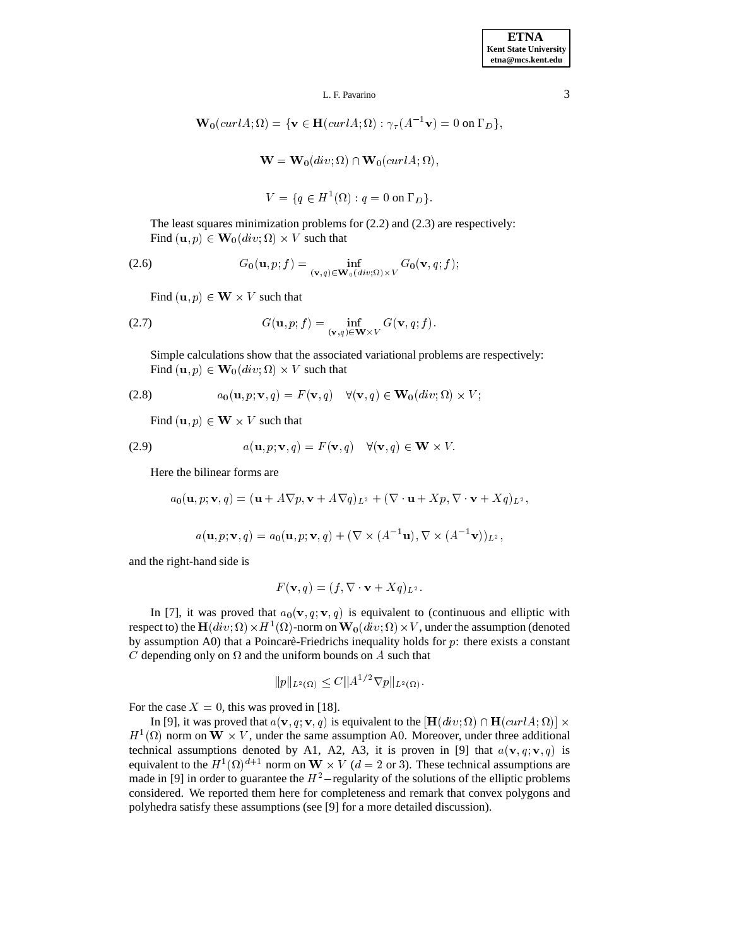$$
\mathbf{W}_0(\operatorname{curl} A; \Omega) = \{ \mathbf{v} \in \mathbf{H}(\operatorname{curl} A; \Omega) : \gamma_\tau(A^{-1} \mathbf{v}) = 0 \text{ on } \Gamma_D \},
$$
  

$$
\mathbf{W} = \mathbf{W}_0(\operatorname{div}; \Omega) \cap \mathbf{W}_0(\operatorname{curl} A; \Omega),
$$

 $V = \{q \in H^1(\Omega) : q = 0 \text{ on } \Gamma_D\}.$ 

The least squares minimization problems for (2.2) and (2.3) are respectively:

Find  $(\mathbf{u}, p) \in \mathbf{W}_0(\text{div}; \Omega) \times V$  such that

(2.6) 
$$
G_0(\mathbf{u}, p; f) = \inf_{(\mathbf{v}, q) \in \mathbf{W}_0(\text{div}; \Omega) \times V} G_0(\mathbf{v}, q; f);
$$

Find  $(\mathbf{u}, p) \in \mathbf{W} \times V$  such that

(2.7) 
$$
G(\mathbf{u},p; f) = \inf_{(\mathbf{v},q) \in \mathbf{W} \times V} G(\mathbf{v},q; f).
$$

Simple calculations show that the associated variational problems are respectively: Find  $(\mathbf{u}, p) \in \mathbf{W}_0(\text{div}; \Omega) \times V$  such that

(2.8) 
$$
a_0(\mathbf{u},p;\mathbf{v},q)=F(\mathbf{v},q)\quad\forall (\mathbf{v},q)\in\mathbf{W}_0(div;\Omega)\times V;
$$

Find  $(\mathbf{u}, p) \in \mathbf{W} \times V$  such that

(2.9) 
$$
a(\mathbf{u}, p; \mathbf{v}, q) = F(\mathbf{v}, q) \quad \forall (\mathbf{v}, q) \in \mathbf{W} \times V.
$$

Here the bilinear forms are

$$
a_0(\mathbf{u},p;\mathbf{v},q)=(\mathbf{u}+A\nabla p,\mathbf{v}+A\nabla q)_{L^2}+(\nabla\cdot\mathbf{u}+Xp,\nabla\cdot\mathbf{v}+Xq)_{L^2},
$$

$$
a(\mathbf{u},p;\mathbf{v},q)=a_0(\mathbf{u},p;\mathbf{v},q)+(\nabla\times(A^{-1}\mathbf{u}),\nabla\times(A^{-1}\mathbf{v}))_{L^2},
$$

and the right-hand side is

$$
F(\mathbf{v},q) = (f, \nabla \cdot \mathbf{v} + Xq)_{L^2}.
$$

In [7], it was proved that  $a_0(\mathbf{v}, q; \mathbf{v}, q)$  is equivalent to (continuous and elliptic with respect to) the  $\mathbf{H}(div; \Omega) \times H^1(\Omega)$ -norm on  $\mathbf{W}_0(div; \Omega) \times V$ , under the assumption (denoted by assumption A0) that a Poincaré-Friedrichs inequality holds for  $p$ : there exists a constant C depending only on  $\Omega$  and the uniform bounds on A such that

$$
||p||_{L^2(\Omega)} \le C||A^{1/2}\nabla p||_{L^2(\Omega)}.
$$

For the case  $X = 0$ , this was proved in [18].

In [9], it was proved that  $a(\mathbf{v}, q; \mathbf{v}, q)$  is equivalent to the  $[\mathbf{H}(div; \Omega) \cap \mathbf{H}(curl A; \Omega)] \times$  $H^1(\Omega)$  norm on  $W \times V$ , under the same assumption A0. Moreover, under three additional technical assumptions denoted by A1, A2, A3, it is proven in [9] that  $a(\mathbf{v}, q; \mathbf{v}, q)$  is equivalent to the  $H^1(\Omega)^{d+1}$  norm on  $W \times V$  ( $d = 2$  or 3). These technical assumptions are made in [9] in order to guarantee the  $H^2$ -regularity of the solutions of the elliptic problems considered. We reported them here for completeness and remark that convex polygons and polyhedra satisfy these assumptions (see [9] for a more detailed discussion).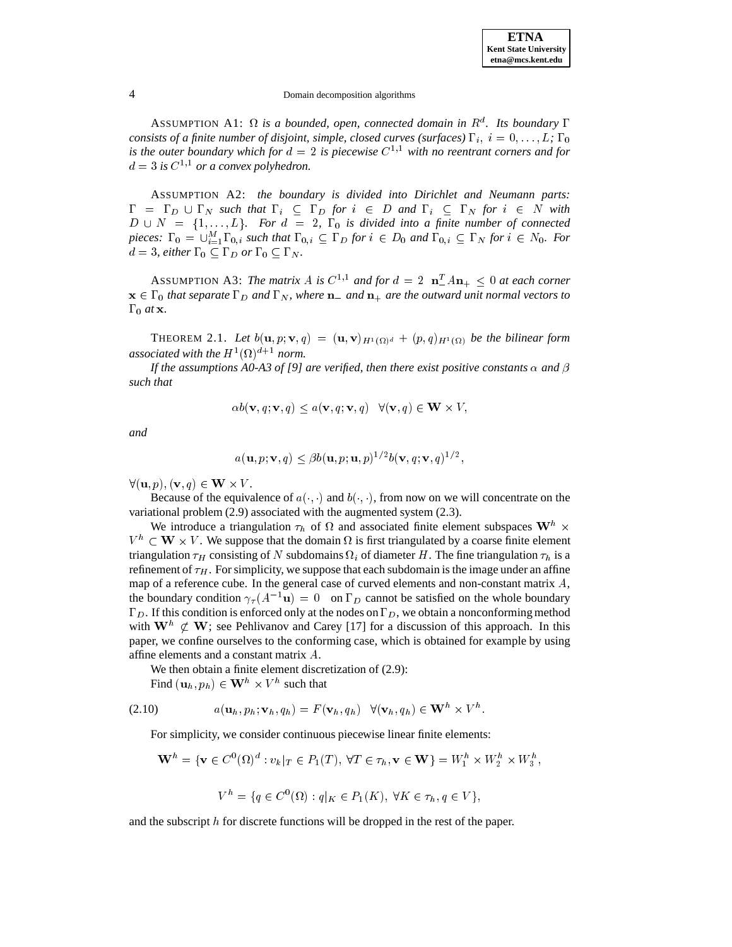ASSUMPTION A1:  $\Omega$  is a bounded, open, connected domain in  $R^d$ . Its boundary  $\Gamma$ *consists of a finite number of disjoint, simple, closed curves (surfaces)*  $\Gamma_i$ ,  $i = 0, \ldots, L$ ;  $\Gamma_0$ *is the outer boundary which for*  $d = 2$  *is piecewise*  $C^{1,1}$  *with no reentrant corners and for*  $d = 3$  is  $C^{1,1}$  or a convex polyhedron.

ASSUMPTION A2: *the boundary is divided into Dirichlet and Neumann parts:*  $\Gamma = \Gamma_D \cup \Gamma_N$  such that  $\Gamma_i \subseteq \Gamma_D$  for  $i \in D$  and  $\Gamma_i \subseteq \Gamma_N$  for  $i \in N$  with  $D \cup N = \{1,\ldots,L\}$ . For  $d = 2$ ,  $\Gamma_0$  *is divided into a finite number of connected pieces:*  $\Gamma_0 = \bigcup_{i=1}^M \Gamma_{0,i}$  *such that*  $\Gamma_{0,i} \subseteq \Gamma_D$  *for*  $i \in D_0$  *and*  $\Gamma_{0,i} \subseteq \Gamma_N$  *for*  $i \in N_0$ *. For*  $d = 3$ *, either*  $\Gamma_0 \subseteq \Gamma_D$  *or*  $\Gamma_0 \subseteq \Gamma_N$ *.* 

ASSUMPTION A3: The matrix A is  $C^{1,1}$  and for  $d = 2$   $\mathbf{n}_{-}^{T}A\mathbf{n}_{+} \leq 0$  at each corner  $\mathbf{x} \in \Gamma_0$  *that separate*  $\Gamma_D$  *and*  $\Gamma_N$ *, where*  $\mathbf{n}_-$  *and*  $\mathbf{n}_+$  *are the outward unit normal vectors to*  $\Gamma_0$  *at* **x**.

THEOREM 2.1. Let  $b(\mathbf{u},p;\mathbf{v},q) = (\mathbf{u},\mathbf{v})_{H^1(\Omega)^d} + (p,q)_{H^1(\Omega)}$  be the bilinear form  $\sim$  $\sim$   $$ *associated with the*  $H^1(\Omega)^{d+1}$  *norm.* 

*If the assumptions A0-A3 of [9] are verified, then there exist positive constants*  $\alpha$  *and*  $\beta$ *such that*

$$
\alpha b(\mathbf{v}, q; \mathbf{v}, q) \le a(\mathbf{v}, q; \mathbf{v}, q) \quad \forall (\mathbf{v}, q) \in \mathbf{W} \times V,
$$

*and*

$$
a(\mathbf{u},p;\mathbf{v},q) \leq \beta b(\mathbf{u},p;\mathbf{u},p)^{1/2}b(\mathbf{v},q;\mathbf{v},q)^{1/2},
$$

 $\forall (\mathbf{u}, p), (\mathbf{v}, q) \in \mathbf{W} \times V.$ 

Because of the equivalence of  $a(\cdot, \cdot)$  and  $b(\cdot, \cdot)$ , from now on we will concentrate on the variational problem (2.9) associated with the augmented system (2.3).

We introduce a triangulation  $\tau_h$  of  $\Omega$  and associated finite element subspaces  $\mathbf{W}^h$   $\times$  $V^h \subset W \times V$ . We suppose that the domain  $\Omega$  is first triangulated by a coarse finite element triangulation  $\tau_H$  consisting of N subdomains  $\Omega_i$  of diameter H. The fine triangulation  $\tau_h$  is a refinement of  $\tau_H$ . For simplicity, we suppose that each subdomain is the image under an affine map of a reference cube. In the general case of curved elements and non-constant matrix  $A$ , the boundary condition  $\gamma_{\tau}(A^{-1}\mathbf{u})=0$  on  $\Gamma_D$  cannot be satisfied on the whole boundary  $\Gamma_D$ . If this condition is enforced only at the nodes on  $\Gamma_D$ , we obtain a nonconforming method with  $\mathbf{W}^h \not\subset \mathbf{W}$ ; see Pehlivanov and Carey [17] for a discussion of this approach. In this paper, we confine ourselves to the conforming case, which is obtained for example by using affine elements and a constant matrix A.

We then obtain a finite element discretization of (2.9):

Find  $(\mathbf{u}_h, p_h) \in \mathbf{W}^h \times V^h$  such that

$$
(2.10) \t a(\mathbf{u}_h, p_h; \mathbf{v}_h, q_h) = F(\mathbf{v}_h, q_h) \quad \forall (\mathbf{v}_h, q_h) \in \mathbf{W}^h \times V^h.
$$

For simplicity, we consider continuous piecewise linear finite elements:

$$
\mathbf{W}^h = \{ \mathbf{v} \in C^0(\Omega)^d : v_k|_T \in P_1(T), \forall T \in \tau_h, \mathbf{v} \in \mathbf{W} \} = W_1^h \times W_2^h \times W_3^h,
$$

$$
V^n = \{q \in C^0(\Omega) : q|_K \in P_1(K), \ \forall K \in \tau_h, q \in V\},\
$$

and the subscript  $h$  for discrete functions will be dropped in the rest of the paper.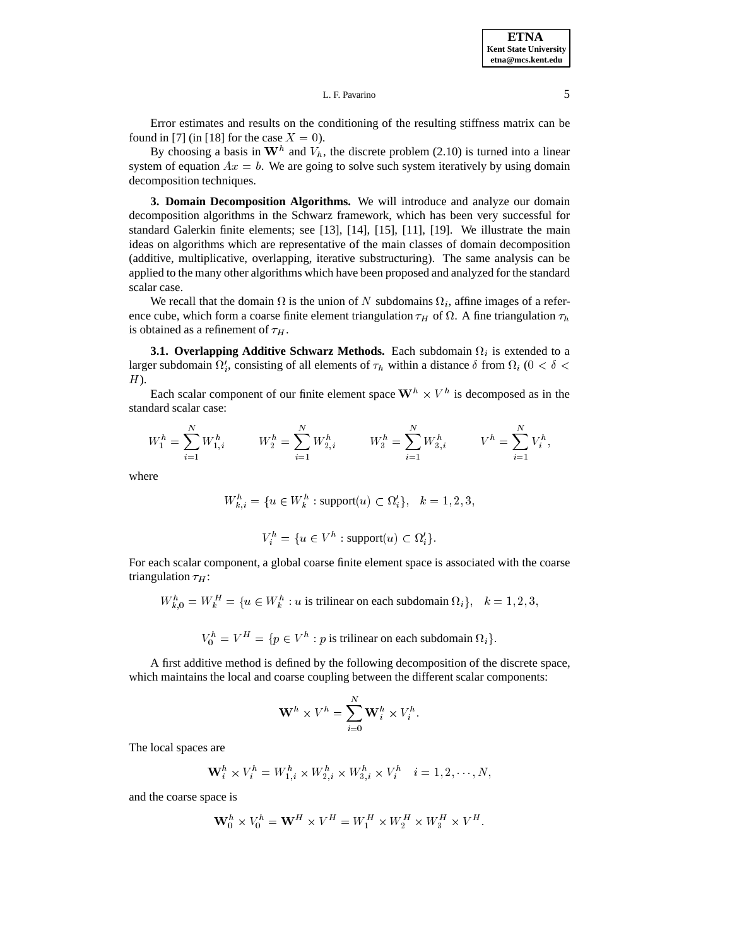**ETNA Kent State University etna@mcs.kent.edu**

### L. F. Pavarino 5

Error estimates and results on the conditioning of the resulting stiffness matrix can be found in [7] (in [18] for the case  $X = 0$ ).

By choosing a basis in  $W^h$  and  $V_h$ , the discrete problem (2.10) is turned into a linear system of equation  $Ax = b$ . We are going to solve such system iteratively by using domain decomposition techniques.

**3. Domain Decomposition Algorithms.** We will introduce and analyze our domain decomposition algorithms in the Schwarz framework, which has been very successful for standard Galerkin finite elements; see [13], [14], [15], [11], [19]. We illustrate the main ideas on algorithms which are representative of the main classes of domain decomposition (additive, multiplicative, overlapping, iterative substructuring). The same analysis can be applied to the many other algorithms which have been proposed and analyzed for the standard scalar case.

We recall that the domain  $\Omega$  is the union of N subdomains  $\Omega_i$ , affine images of a reference cube, which form a coarse finite element triangulation  $\tau_H$  of  $\Omega$ . A fine triangulation  $\tau_h$ is obtained as a refinement of  $\tau_H$ .

**3.1. Overlapping Additive Schwarz Methods.** Each subdomain  $\Omega_i$  is extended to a larger subdomain  $\Omega'_i$ , consisting of all elements of  $\tau_h$  within a distance  $\delta$  from  $\Omega_i$  ( $0 < \delta <$  $H$ ).

Each scalar component of our finite element space  $W^h \times V^h$  is decomposed as in the standard scalar case:

$$
W_1^h = \sum_{i=1}^N W_{1,i}^h \qquad W_2^h = \sum_{i=1}^N W_{2,i}^h \qquad W_3^h = \sum_{i=1}^N W_{3,i}^h \qquad V^h = \sum_{i=1}^N V_i^h,
$$

where

$$
W_{k,i}^h = \{ u \in W_k^h : \text{support}(u) \subset \Omega_i' \}, \quad k = 1, 2, 3,
$$

$$
V_i^h = \{ u \in V^h : \text{support}(u) \subset \Omega_i' \}.
$$

For each scalar component, a global coarse finite element space is associated with the coarse triangulation  $\tau_H$ :

$$
W_{k,0}^h = W_k^H = \{u \in W_k^h : u \text{ is trilinear on each subdomain } \Omega_i\}, k = 1, 2, 3,
$$

 $V_0^h = V^H = \{ p \in V^h : p \text{ is trilinear on each subdomain } \Omega_i \}.$ 

A first additive method is defined by the following decomposition of the discrete space, which maintains the local and coarse coupling between the different scalar components:

$$
\mathbf{W}^h \times V^h = \sum_{i=0}^N \mathbf{W}_i^h \times V_i^h.
$$

The local spaces are

$$
\mathbf{W}_i^h \times V_i^h = W_{1,i}^h \times W_{2,i}^h \times W_{3,i}^h \times V_i^h \quad i = 1, 2, \cdots, N,
$$

and the coarse space is

$$
\mathbf{W}_0^h \times V_0^h = \mathbf{W}^H \times V^H = W_1^H \times W_2^H \times W_3^H \times V^H.
$$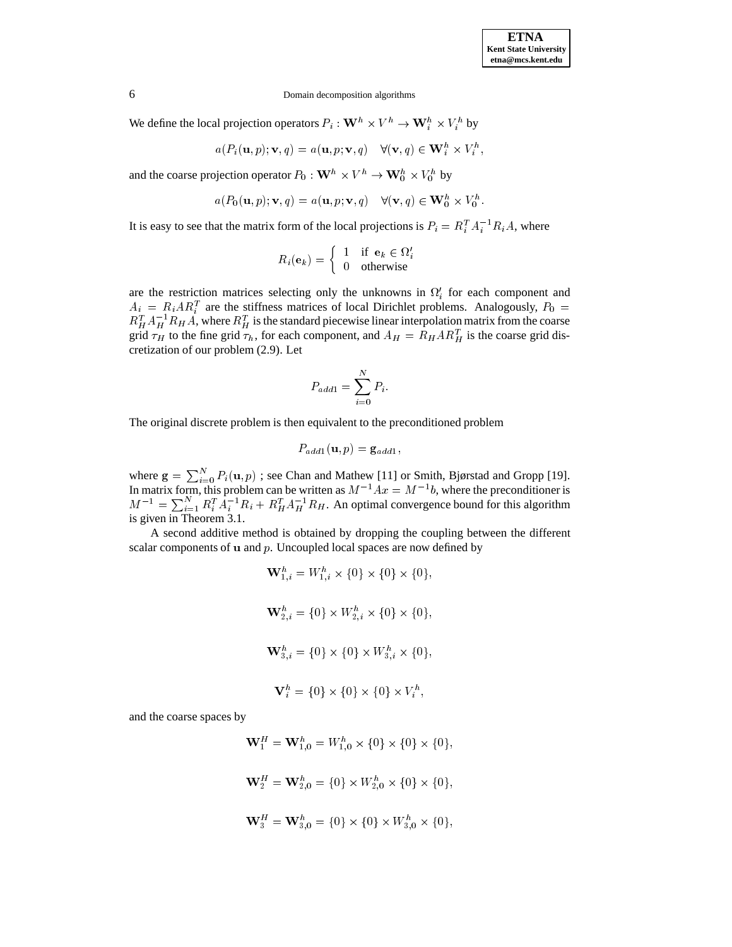the contract of the contract of the contract of the contract of the contract of

6 Domain decomposition algorithms

We define the local projection operators  $P_i : \mathbf{W}^h \times V^h \to \mathbf{W}_i^h \times V_i^h$  by

$$
a(P_i(\mathbf{u},p); \mathbf{v},q) = a(\mathbf{u},p; \mathbf{v},q) \quad \forall (\mathbf{v},q) \in \mathbf{W}_i^h \times V_i^h,
$$

and the coarse projection operator  $P_0 : \mathbf{W}^h \times V^h \to \mathbf{W}^h_0 \times V^h_0$  by

$$
a(P_0(\mathbf{u},p); \mathbf{v},q)=a(\mathbf{u},p; \mathbf{v},q)\quad \forall (\mathbf{v},q)\in \mathbf{W}_0^h\times V_0^h.
$$

It is easy to see that the matrix form of the local projections is  $P_i = R_i^T A_i^{-1} R_i A$ , where

$$
R_i(\mathbf{e}_k) = \left\{ \begin{array}{ll} 1 & \text{if } \mathbf{e}_k \in \Omega'_i \\ 0 & \text{otherwise} \end{array} \right.
$$

are the restriction matrices selecting only the unknowns in  $\Omega_i'$  for each component and  $A_i = R_i AR_i^T$  are the stiffness matrices of local Dirichlet problems. Analogously,  $P_0 =$  $R_H^T A_H^{-1} R_H A$ , where  $R_H^T$  is the standard piecewise linear interpolation matrix from the coarse grid  $\tau_H$  to the fine grid  $\tau_h$ , for each component, and  $A_H = R_H A R_H^T$  is the coarse grid discretization of our problem (2.9). Let

$$
P_{add1} = \sum_{i=0}^{N} P_i.
$$

The original discrete problem is then equivalent to the preconditioned problem

$$
P_{add1}(\mathbf{u},p)=\mathbf{g}_{add1},
$$

where  $g = \sum_{i=0}^{N} P_i(u, p)$ ; see Chan and Mathew [11] or Smith, Bjørstad and Gropp [19]. In matrix form, this problem can be written as  $M^{-1}Ax = M^{-1}b$ , where the preconditioner is  $M^{-1} = \sum_{i=1}^{N} R_i^T A_i^{-1} R_i + R_H^T A_H^{-1} R_H$ . An optimal convergence bound for this algorithm is given in Theorem 3.1.

A second additive method is obtained by dropping the coupling between the different scalar components of  $\bf{u}$  and  $\bf{p}$ . Uncoupled local spaces are now defined by

$$
\mathbf{W}_{1,i}^{h} = W_{1,i}^{h} \times \{0\} \times \{0\} \times \{0\},
$$
\n
$$
\mathbf{W}_{2,i}^{h} = \{0\} \times W_{2,i}^{h} \times \{0\} \times \{0\},
$$
\n
$$
\mathbf{W}_{3,i}^{h} = \{0\} \times \{0\} \times W_{3,i}^{h} \times \{0\},
$$
\n
$$
\mathbf{V}_{i}^{h} = \{0\} \times \{0\} \times \{0\} \times V_{i}^{h},
$$

and the coarse spaces by

$$
\mathbf{W}_{1}^{H} = \mathbf{W}_{1,0}^{h} = W_{1,0}^{h} \times \{0\} \times \{0\} \times \{0\},
$$
  

$$
\mathbf{W}_{2}^{H} = \mathbf{W}_{2,0}^{h} = \{0\} \times W_{2,0}^{h} \times \{0\} \times \{0\},
$$
  

$$
\mathbf{W}_{3}^{H} = \mathbf{W}_{3,0}^{h} = \{0\} \times \{0\} \times W_{3,0}^{h} \times \{0\},
$$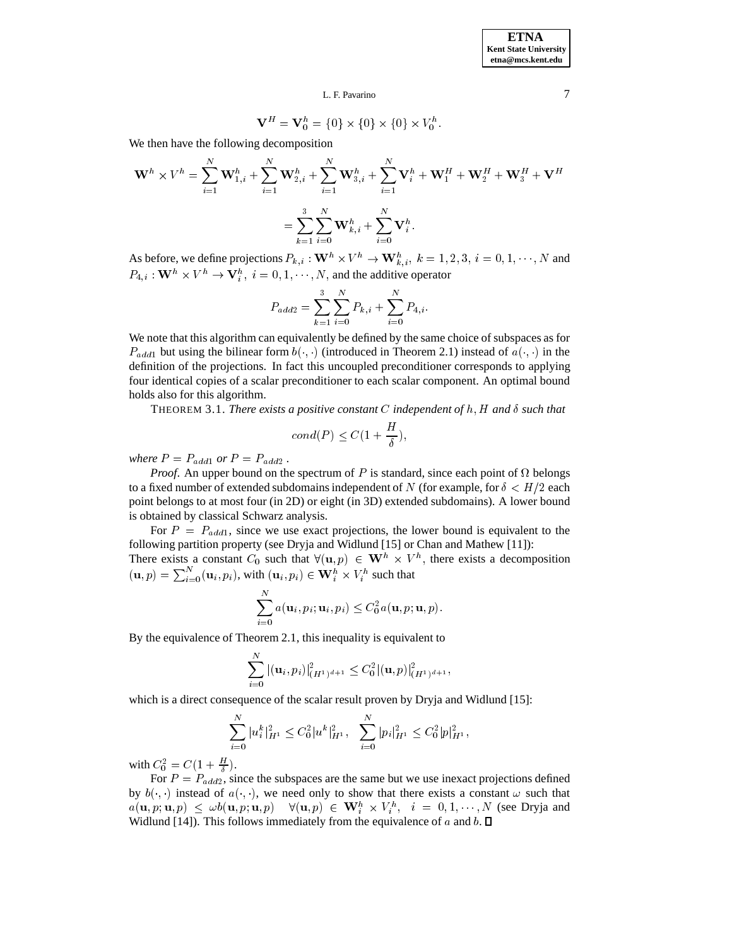$$
\mathbf{V}^{H} = \mathbf{V}_{0}^{h} = \{0\} \times \{0\} \times \{0\} \times V_{0}^{h}.
$$

We then have the following decomposition

$$
\mathbf{W}^{h} \times V^{h} = \sum_{i=1}^{N} \mathbf{W}_{1,i}^{h} + \sum_{i=1}^{N} \mathbf{W}_{2,i}^{h} + \sum_{i=1}^{N} \mathbf{W}_{3,i}^{h} + \sum_{i=1}^{N} \mathbf{V}_{i}^{h} + \mathbf{W}_{1}^{H} + \mathbf{W}_{2}^{H} + \mathbf{W}_{3}^{H} + \mathbf{V}^{H}
$$

$$
= \sum_{k=1}^{3} \sum_{i=0}^{N} \mathbf{W}_{k,i}^{h} + \sum_{i=0}^{N} \mathbf{V}_{i}^{h}.
$$

As before, we define projections  $P_{k,i}: \mathbf{W}^h \times V^h \to \mathbf{W}^h_{k,i}$ ,  $k = 1, 2, 3$ ,  $i = 0, 1, \dots, N$  and  $P_{4,i}: \mathbf{W}^{h} \times V^{h} \rightarrow \mathbf{V}_{i}^{h}, i = 0, 1, \cdots, N$ , and the additive operator

$$
P_{add2} = \sum_{k=1}^{3} \sum_{i=0}^{N} P_{k,i} + \sum_{i=0}^{N} P_{4,i}.
$$

We note that this algorithm can equivalently be defined by the same choice of subspaces as for  $P_{add1}$  but using the bilinear form  $b(\cdot, \cdot)$  (introduced in Theorem 2.1) instead of  $a(\cdot, \cdot)$  in the definition of the projections. In fact this uncoupled preconditioner corresponds to applying four identical copies of a scalar preconditioner to each scalar component. An optimal bound holds also for this algorithm.

**THEOREM 3.1.** There exists a positive constant C independent of h, H and  $\delta$  such that

$$
cond(P) \le C(1 + \frac{H}{\delta}),
$$

*where*  $P = P_{add1}$  *or*  $P = P_{add2}$ .

*Proof.* An upper bound on the spectrum of P is standard, since each point of  $\Omega$  belongs to a fixed number of extended subdomains independent of N (for example, for  $\delta < H/2$  each point belongs to at most four (in 2D) or eight (in 3D) extended subdomains). A lower bound is obtained by classical Schwarz analysis.

For  $P = P_{add1}$ , since we use exact projections, the lower bound is equivalent to the following partition property (see Dryja and Widlund [15] or Chan and Mathew [11]):

There exists a constant  $C_0$  such that  $\forall (\mathbf{u}, p) \in \mathbf{W}^h \times V^h$ , there exists a decomposition  $(\mathbf{u}, p) = \sum_{i=0}^{N} (\mathbf{u}_i, p_i)$ , with  $(\mathbf{u}_i, p_i) \in \mathbf{W}_i^h \times V_i^h$  such that

$$
\sum_{i=0}^N a(\mathbf{u}_i, p_i; \mathbf{u}_i, p_i) \leq C_0^2 a(\mathbf{u}, p; \mathbf{u}, p).
$$

By the equivalence of Theorem 2.1, this inequality is equivalent to

$$
\sum_{i=0}^N|(\mathbf{u}_i,p_i)|^2_{(H^1)^{d+1}}\leq C_0^2|(\mathbf{u},p)|^2_{(H^1)^{d+1}},
$$

which is a direct consequence of the scalar result proven by Dryja and Widlund [15]:

$$
\sum_{i=0}^N |u_i^k|_{H^1}^2 \leq C_0^2 |u^k|_{H^1}^2, \quad \sum_{i=0}^N |p_i|_{H^1}^2 \leq C_0^2 |p|_{H^1}^2,
$$

with  $C_0^2 = C(1 + \frac{H}{\delta}).$ 

For  $P = P_{add2}$ , since the subspaces are the same but we use inexact projections defined by  $b(\cdot, \cdot)$  instead of  $a(\cdot, \cdot)$ , we need only to show that there exists a constant  $\omega$  such that  $a(\mathbf{u}, p; \mathbf{u}, p) \leq \omega b(\mathbf{u}, p; \mathbf{u}, p) \quad \forall (\mathbf{u}, p) \in \mathbf{W}_i^h \times V_i^h, \quad i = 0, 1, \cdots, N$  (see Dryja and Widlund [14]). This follows immediately from the equivalence of a and b.  $\square$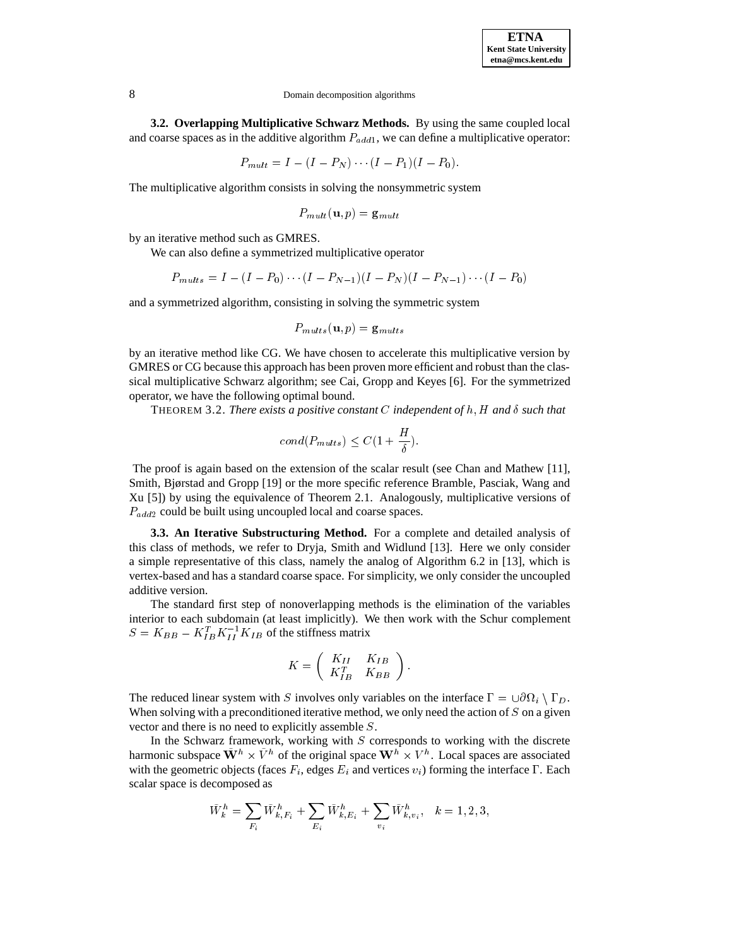**ETNA Kent State University etna@mcs.kent.edu**

**3.2. Overlapping Multiplicative Schwarz Methods.** By using the same coupled local and coarse spaces as in the additive algorithm  $P_{add1}$ , we can define a multiplicative operator:

$$
P_{mult} = I - (I - P_N) \cdots (I - P_1)(I - P_0).
$$

The multiplicative algorithm consists in solving the nonsymmetric system

$$
P_{mult}(\mathbf{u},p)=\mathbf{g}_{mult}
$$

by an iterative method such as GMRES.

We can also define a symmetrized multiplicative operator

$$
P_{mults} = I - (I - P_0) \cdots (I - P_{N-1})(I - P_N)(I - P_{N-1}) \cdots (I - P_0)
$$

and a symmetrized algorithm, consisting in solving the symmetric system

$$
P_{mults}\mathbf{(u,}p\mathbf{)}= \mathbf{g}_{mults}
$$

by an iterative method like CG. We have chosen to accelerate this multiplicative version by GMRES or CG because this approach has been proven more efficient and robust than the classical multiplicative Schwarz algorithm; see Cai, Gropp and Keyes [6]. For the symmetrized operator, we have the following optimal bound.

**THEOREM 3.2.** *There exists a positive constant* C *independent* of h, H and  $\delta$  such that

$$
cond(P_{mults}) \leq C(1 + \frac{H}{\delta}).
$$

The proof is again based on the extension of the scalar result (see Chan and Mathew [11], Smith, Bjørstad and Gropp [19] or the more specific reference Bramble, Pasciak, Wang and Xu [5]) by using the equivalence of Theorem 2.1. Analogously, multiplicative versions of  $P_{add2}$  could be built using uncoupled local and coarse spaces.

**3.3. An Iterative Substructuring Method.** For a complete and detailed analysis of this class of methods, we refer to Dryja, Smith and Widlund [13]. Here we only consider a simple representative of this class, namely the analog of Algorithm 6.2 in [13], which is vertex-based and has a standard coarse space. For simplicity, we only consider the uncoupled additive version.

The standard first step of nonoverlapping methods is the elimination of the variables interior to each subdomain (at least implicitly). We then work with the Schur complement  $S = K_{BB} - K_{IB}^T K_{II}^{-1} K_{IB}$  of the stiffness matrix

$$
K = \left( \begin{array}{cc} K_{II} & K_{IB} \\ K_{IB}^T & K_{BB} \end{array} \right).
$$

The reduced linear system with S involves only variables on the interface  $\Gamma = \cup \partial \Omega_i \setminus \Gamma_D$ . When solving with a preconditioned iterative method, we only need the action of  $S$  on a given vector and there is no need to explicitly assemble <sup>S</sup>.

In the Schwarz framework, working with  $S$  corresponds to working with the discrete harmonic subspace  $\mathbf{W}^h \times V^h$  of the original space  $\mathbf{W}^h \times V^h$ . Local spaces are associated with the geometric objects (faces  $F_i$ , edges  $E_i$  and vertices  $v_i$ ) forming the interface  $\Gamma$ . Each scalar space is decomposed as

$$
\tilde{W}_k^h = \sum_{F_i} \tilde{W}_{k,F_i}^h + \sum_{E_i} \tilde{W}_{k,E_i}^h + \sum_{v_i} \tilde{W}_{k,v_i}^h, \quad k = 1,2,3,
$$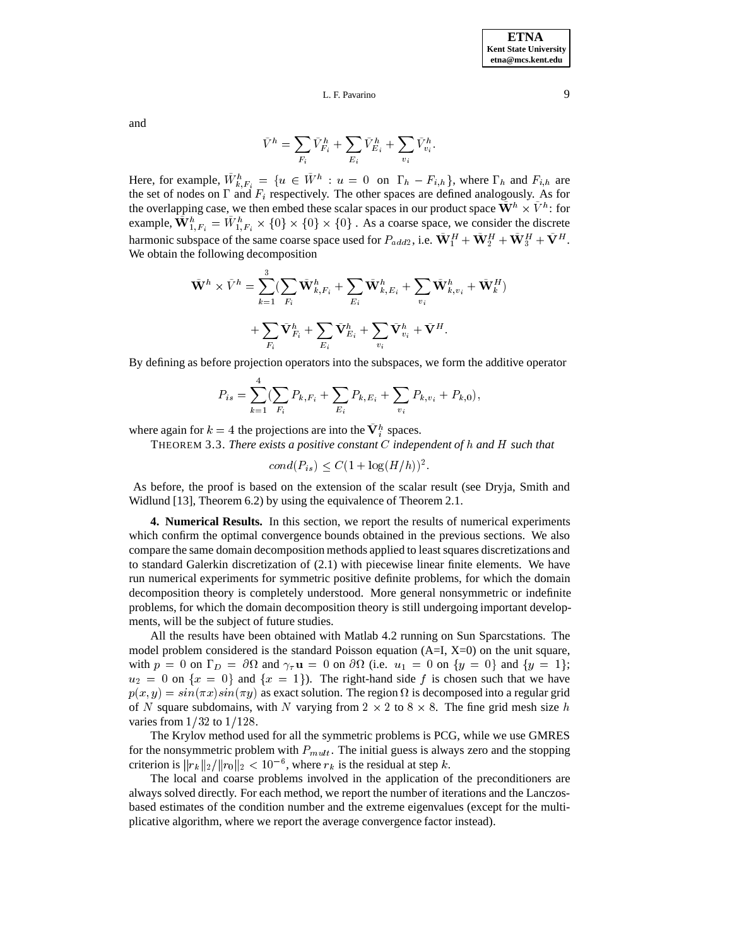and

$$
\tilde{V}^h = \sum_{F_i} \tilde{V}^h_{F_i} + \sum_{E_i} \tilde{V}^h_{E_i} + \sum_{v_i} \tilde{V}^h_{v_i}.
$$

Here, for example,  $W_{k,F_i}^h = \{u \in W^h : u = 0 \text{ on } \Gamma_h - F_{i,h}\}$ , where  $\Gamma_h$  and  $F_{i,h}$  are the set of nodes on  $\Gamma$  and  $F_i$  respectively. The other spaces are defined analogously. As for the overlapping case, we then embed these scalar spaces in our product space  $W^h \times V^h$ : for example,  $\mathbf{W}_{1,F_i}^h = W_{1,F_i}^h \times \{0\} \times \{0\} \times \{0\}$ . As a coarse space, we consider the discrete harmonic subspace of the same coarse space used for  $P_{add2}$ , i.e.  $W_1^H + W_2^H + W_3^H + V^H$ . We obtain the following decomposition

$$
\begin{aligned} \tilde{\mathbf{W}}^h \times \tilde{V}^h &= \sum_{k=1}^3 (\sum_{F_i} \tilde{\mathbf{W}}^h_{k,F_i} + \sum_{E_i} \tilde{\mathbf{W}}^h_{k,E_i} + \sum_{v_i} \tilde{\mathbf{W}}^h_{k,v_i} + \tilde{\mathbf{W}}^H_k) \\ &+ \sum_{F_i} \tilde{\mathbf{V}}^h_{F_i} + \sum_{E_i} \tilde{\mathbf{V}}^h_{E_i} + \sum_{v_i} \tilde{\mathbf{V}}^h_{v_i} + \tilde{\mathbf{V}}^H. \end{aligned}
$$

By defining as before projection operators into the subspaces, we form the additive operator

$$
P_{is} = \sum_{k=1}^{4} \left( \sum_{F_i} P_{k,F_i} + \sum_{E_i} P_{k,E_i} + \sum_{v_i} P_{k,v_i} + P_{k,0} \right),
$$

where again for  $k = 4$  the projections are into the  $V_i^h$  spaces.

THEOREM 3.3. *There exists a positive constant* C *independent of* h *and* H *such that*

$$
cond(P_{is}) \le C(1 + \log(H/h))^{2}.
$$

As before, the proof is based on the extension of the scalar result (see Dryja, Smith and Widlund [13], Theorem 6.2) by using the equivalence of Theorem 2.1.

**4. Numerical Results.** In this section, we report the results of numerical experiments which confirm the optimal convergence bounds obtained in the previous sections. We also compare the same domain decomposition methods applied to least squares discretizations and to standard Galerkin discretization of (2.1) with piecewise linear finite elements. We have run numerical experiments for symmetric positive definite problems, for which the domain decomposition theory is completely understood. More general nonsymmetric or indefinite problems, for which the domain decomposition theory is still undergoing important developments, will be the subject of future studies.

All the results have been obtained with Matlab 4.2 running on Sun Sparcstations. The model problem considered is the standard Poisson equation  $(A=I, X=0)$  on the unit square, with  $p = 0$  on  $\Gamma_D = \partial \Omega$  and  $\gamma_{\tau} \mathbf{u} = 0$  on  $\partial \Omega$  (i.e.  $u_1 = 0$  on  $\{y = 0\}$  and  $\{y = 1\};$  $u_2 = 0$  on  $\{x = 0\}$  and  $\{x = 1\}$ . The right-hand side f is chosen such that we have  $p(x, y) = \sin(\pi x) \sin(\pi y)$  as exact solution. The region  $\Omega$  is decomposed into a regular grid of N square subdomains, with N varying from  $2 \times 2$  to  $8 \times 8$ . The fine grid mesh size h varies from  $1/32$  to  $1/128$ .

The Krylov method used for all the symmetric problems is PCG, while we use GMRES for the nonsymmetric problem with  $P_{mult}$ . The initial guess is always zero and the stopping criterion is  $||r_k||_2/||r_0||_2 < 10^{-6}$ , where  $r_k$  is the residual at step k.

The local and coarse problems involved in the application of the preconditioners are always solved directly. For each method, we report the number of iterations and the Lanczosbased estimates of the condition number and the extreme eigenvalues (except for the multiplicative algorithm, where we report the average convergence factor instead).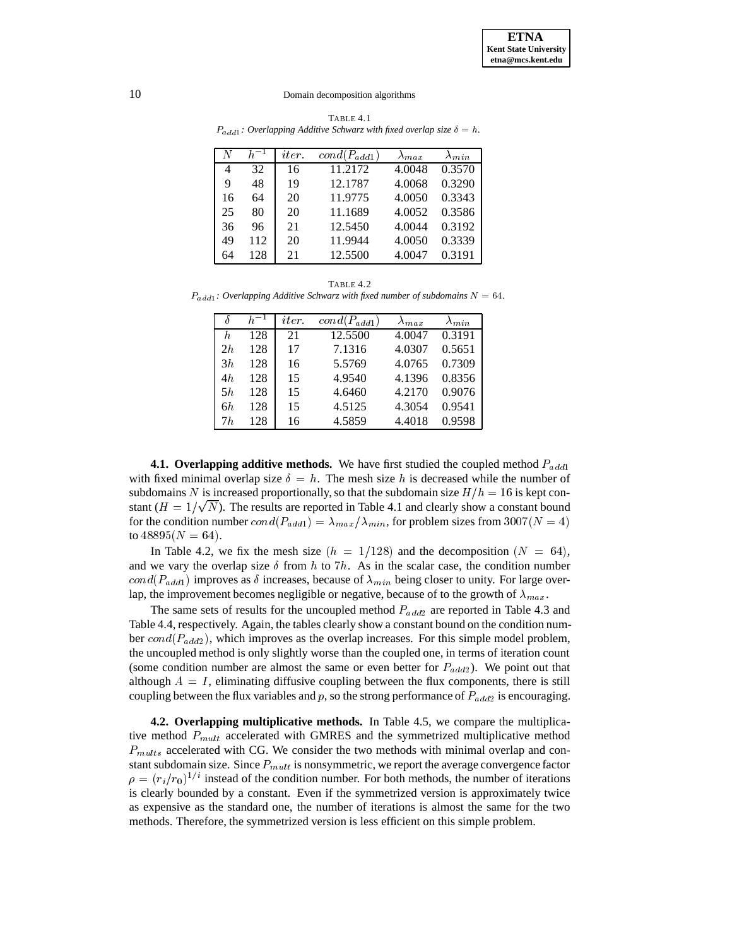TABLE 4.1  $P_{add1}$ : Overlapping Additive Schwarz with fixed overlap size  $\delta = h$ .

|    | $h^{-1}$ | <i>iter</i> | $cond(P_{add1})$ | $\Delta_{max}$ | $\Lambda_{min}$ |
|----|----------|-------------|------------------|----------------|-----------------|
| 4  | 32       | 16          | 11.2172          | 4.0048         | 0.3570          |
| 9  | 48       | 19          | 12.1787          | 4.0068         | 0.3290          |
| 16 | 64       | 20          | 11.9775          | 4.0050         | 0.3343          |
| 25 | 80       | 20          | 11.1689          | 4.0052         | 0.3586          |
| 36 | 96       | 21          | 12.5450          | 4.0044         | 0.3192          |
| 49 | 112      | 20          | 11.9944          | 4.0050         | 0.3339          |
| 64 | 128      | 21          | 12.5500          | 4.0047         | 0.3191          |

TABLE 4.2  $P_{add1}$ : Overlapping Additive Schwarz with fixed number of subdomains  $N = 64$ .

|    | $h^{-1}$ | <i>iter</i> | $\overline{cond(P_{add1})}$ | $\Lambda_{max}$ | $\Lambda_{min}$ |
|----|----------|-------------|-----------------------------|-----------------|-----------------|
| h. | 128      | 21          | 12.5500                     | 4.0047          | 0.3191          |
| 2h | 128      | 17          | 7.1316                      | 4.0307          | 0.5651          |
| 3h | 128      | 16          | 5.5769                      | 4.0765          | 0.7309          |
| 4h | 128      | 15          | 4.9540                      | 4.1396          | 0.8356          |
| 5h | 128      | 15          | 4.6460                      | 4.2170          | 0.9076          |
| 6h | 128      | 15          | 4.5125                      | 4.3054          | 0.9541          |
| 7h | 128      | 16          | 4.5859                      | 4.4018          | 0.9598          |

**4.1. Overlapping additive methods.** We have first studied the coupled method  $P_{add1}$ with fixed minimal overlap size  $\delta = h$ . The mesh size h is decreased while the number of subdomains N is increased proportionally, so that the subdomain size  $H/h = 16$  is kept constant ( $H = 1/\sqrt{N}$ ). The results are reported in Table 4.1 and clearly show a constant bound for the condition number  $cond(P_{add1}) = \lambda_{max}/\lambda_{min}$ , for problem sizes from 3007(N = 4) to  $48895(N = 64)$ .

In Table 4.2, we fix the mesh size  $(h = 1/128)$  and the decomposition  $(N = 64)$ , and we vary the overlap size  $\delta$  from h to 7h. As in the scalar case, the condition number  $cond(P_{add1})$  improves as  $\delta$  increases, because of  $\lambda_{min}$  being closer to unity. For large overlap, the improvement becomes negligible or negative, because of to the growth of  $\lambda_{max}$ .

The same sets of results for the uncoupled method  $P_{add2}$  are reported in Table 4.3 and Table 4.4, respectively. Again, the tables clearly show a constant bound on the condition number  $cond(P_{add2})$ , which improves as the overlap increases. For this simple model problem, the uncoupled method is only slightly worse than the coupled one, in terms of iteration count (some condition number are almost the same or even better for  $P_{add2}$ ). We point out that although  $A = I$ , eliminating diffusive coupling between the flux components, there is still coupling between the flux variables and  $p$ , so the strong performance of  $P_{add2}$  is encouraging.

**4.2. Overlapping multiplicative methods.** In Table 4.5, we compare the multiplicative method  $P_{mult}$  accelerated with GMRES and the symmetrized multiplicative method  $P_{mults}$  accelerated with CG. We consider the two methods with minimal overlap and constant subdomain size. Since  $P_{mult}$  is nonsymmetric, we report the average convergence factor  $\rho = (r_i/r_0)^{1/i}$  instead of the condition number. For both methods, the number of iterations is clearly bounded by a constant. Even if the symmetrized version is approximately twice as expensive as the standard one, the number of iterations is almost the same for the two methods. Therefore, the symmetrized version is less efficient on this simple problem.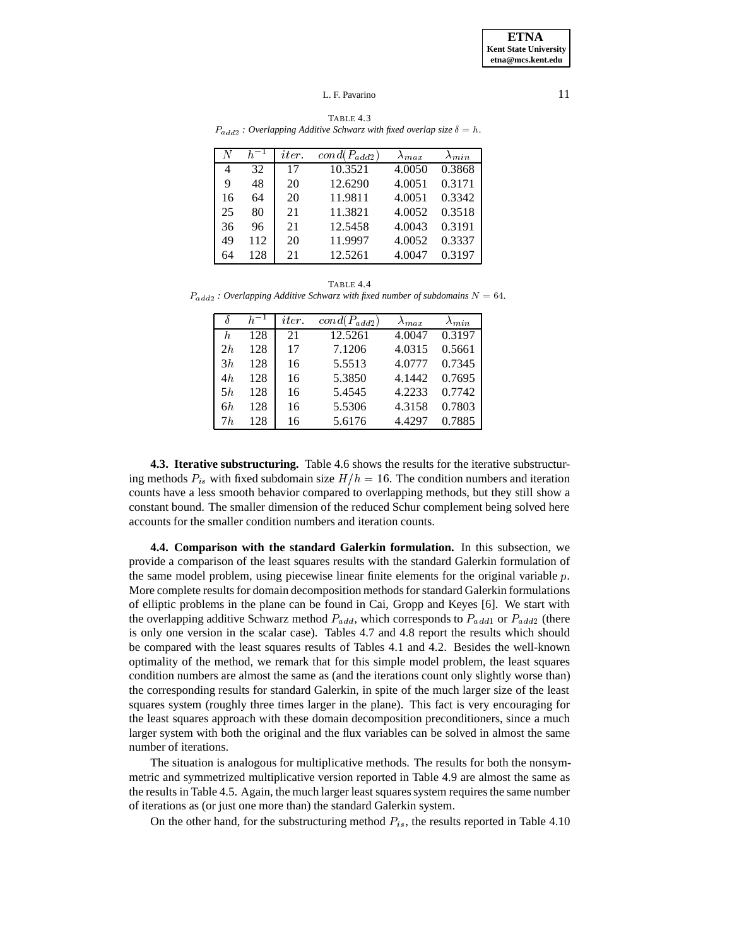| N  |     | <i>iter.</i> | $cond(P_{add2})$ | $\Lambda_{max}$ | $\Lambda_{min}$ |
|----|-----|--------------|------------------|-----------------|-----------------|
| 4  | 32  | 17           | 10.3521          | 4.0050          | 0.3868          |
| 9  | 48  | 20           | 12.6290          | 4.0051          | 0.3171          |
| 16 | 64  | 20           | 11.9811          | 4.0051          | 0.3342          |
| 25 | 80  | 21           | 11.3821          | 4.0052          | 0.3518          |
| 36 | 96  | 21           | 12.5458          | 4.0043          | 0.3191          |
| 49 | 112 | 20           | 11.9997          | 4.0052          | 0.3337          |
| 64 | 128 |              | 12.5261          | 4.0047          | 0.3197          |

TABLE 4.3  $P_{add2}$  *: Overlapping Additive Schwarz with fixed overlap size*  $\delta = h$ *.* 

TABLE 4.4  $P_{add2}$  *: Overlapping Additive Schwarz with fixed number of subdomains*  $N = 64$ *.* 

|    | $h^{-1}$ | iter | $cond(P_{add2})$ | $\lambda_{max}$ | $A_{min}$ |
|----|----------|------|------------------|-----------------|-----------|
| h  | 128      | 21   | 12.5261          | 4.0047          | 0.3197    |
| 2h | 128      | 17   | 7.1206           | 4.0315          | 0.5661    |
| 3h | 128      | 16   | 5.5513           | 4.0777          | 0.7345    |
| 4h | 128      | 16   | 5.3850           | 4.1442          | 0.7695    |
| 5h | 128      | 16   | 5.4545           | 4.2233          | 0.7742    |
| 6h | 128      | 16   | 5.5306           | 4.3158          | 0.7803    |
| 7h | 128      | 16   | 5.6176           | 4.4297          | 0.7885    |

**4.3. Iterative substructuring.** Table 4.6 shows the results for the iterative substructuring methods  $P_{is}$  with fixed subdomain size  $H/h = 16$ . The condition numbers and iteration counts have a less smooth behavior compared to overlapping methods, but they still show a constant bound. The smaller dimension of the reduced Schur complement being solved here accounts for the smaller condition numbers and iteration counts.

**4.4. Comparison with the standard Galerkin formulation.** In this subsection, we provide a comparison of the least squares results with the standard Galerkin formulation of the same model problem, using piecewise linear finite elements for the original variable  $p$ . More complete results for domain decomposition methods for standard Galerkin formulations of elliptic problems in the plane can be found in Cai, Gropp and Keyes [6]. We start with the overlapping additive Schwarz method  $P_{add}$ , which corresponds to  $P_{add1}$  or  $P_{add2}$  (there is only one version in the scalar case). Tables 4.7 and 4.8 report the results which should be compared with the least squares results of Tables 4.1 and 4.2. Besides the well-known optimality of the method, we remark that for this simple model problem, the least squares condition numbers are almost the same as (and the iterations count only slightly worse than) the corresponding results for standard Galerkin, in spite of the much larger size of the least squares system (roughly three times larger in the plane). This fact is very encouraging for the least squares approach with these domain decomposition preconditioners, since a much larger system with both the original and the flux variables can be solved in almost the same number of iterations.

The situation is analogous for multiplicative methods. The results for both the nonsymmetric and symmetrized multiplicative version reported in Table 4.9 are almost the same as the results in Table 4.5. Again, the much larger least squares system requires the same number of iterations as (or just one more than) the standard Galerkin system.

On the other hand, for the substructuring method  $P_{is}$ , the results reported in Table 4.10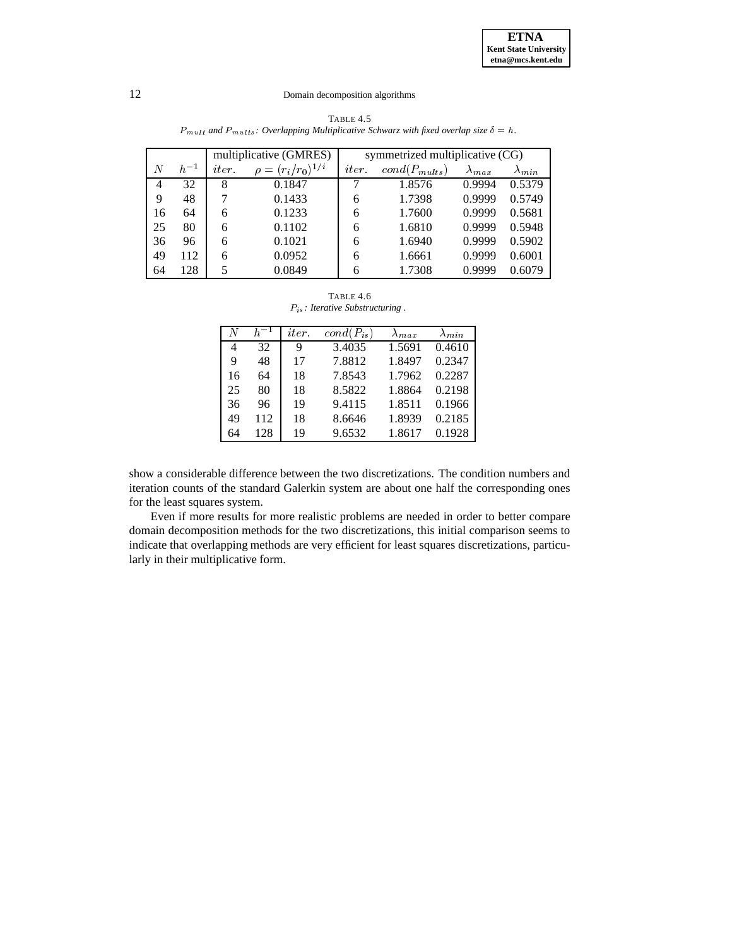|    |          | multiplicative (GMRES) |                          | symmetrized multiplicative (CG) |                   |                 |                 |  |
|----|----------|------------------------|--------------------------|---------------------------------|-------------------|-----------------|-----------------|--|
| N  | $h^{-1}$ | <i>iter</i>            | $\rho = (r_i/r_0)^{1/i}$ | <i>iter</i>                     | $cond(P_{mults})$ | $\lambda_{max}$ | $\lambda_{min}$ |  |
| 4  | 32       | 8                      | 0.1847                   |                                 | 1.8576            | 0.9994          | 0.5379          |  |
| 9  | 48       |                        | 0.1433                   | 6                               | 1.7398            | 0.9999          | 0.5749          |  |
| 16 | 64       | 6                      | 0.1233                   | 6                               | 1.7600            | 0.9999          | 0.5681          |  |
| 25 | 80       | 6                      | 0.1102                   | 6                               | 1.6810            | 0.9999          | 0.5948          |  |
| 36 | 96       | 6                      | 0.1021                   | 6                               | 1.6940            | 0.9999          | 0.5902          |  |
| 49 | 112      | 6                      | 0.0952                   | 6                               | 1.6661            | 0.9999          | 0.6001          |  |
| 64 | 128      |                        | 0.0849                   | 6                               | 1.7308            | 0.9999          | 0.6079          |  |

TABLE 4.5  $P_{mult}$  and  $P_{mults}$ *: Overlapping Multiplicative Schwarz with fixed overlap size*  $\delta = h$ *.* 

TABLE 4.6 Pis *: Iterative Substructuring .*

| N  | $h^{-1}$ | <i>iter</i> | $cond(P_{is})$ | $\lambda_{max}$ | $\lambda_{min}$ |
|----|----------|-------------|----------------|-----------------|-----------------|
| 4  | 32       | 9           | 3.4035         | 1.5691          | 0.4610          |
| 9  | 48       | 17          | 7.8812         | 1.8497          | 0.2347          |
| 16 | 64       | 18          | 7.8543         | 1.7962          | 0.2287          |
| 25 | 80       | 18          | 8.5822         | 1.8864          | 0.2198          |
| 36 | 96       | 19          | 9.4115         | 1.8511          | 0.1966          |
| 49 | 112      | 18          | 8.6646         | 1.8939          | 0.2185          |
| 64 | 128      | 19          | 9.6532         | 1.8617          | 0.1928          |

show a considerable difference between the two discretizations. The condition numbers and iteration counts of the standard Galerkin system are about one half the corresponding ones for the least squares system.

Even if more results for more realistic problems are needed in order to better compare domain decomposition methods for the two discretizations, this initial comparison seems to indicate that overlapping methods are very efficient for least squares discretizations, particularly in their multiplicative form.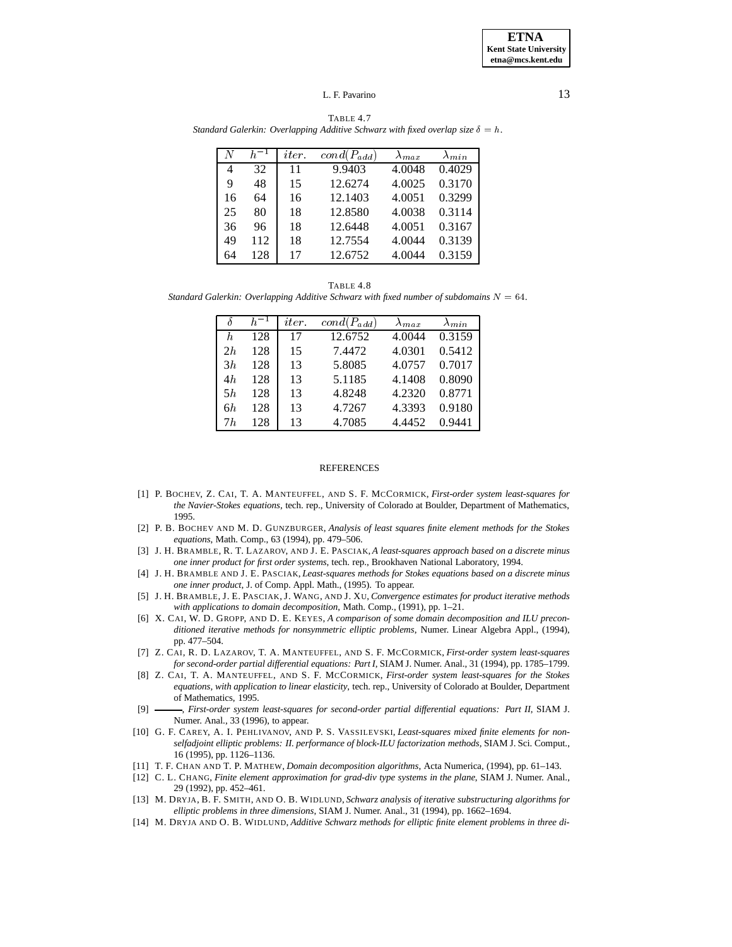TABLE 4.7 *Standard Galerkin: Overlapping Additive Schwarz with fixed overlap size*  $\delta = h$ .

|    | $h^{-1}$ | <i>iter</i> | $cond(P_{add})$ | $\Lambda_{max}$ | $\Lambda_{min}$ |
|----|----------|-------------|-----------------|-----------------|-----------------|
| 4  | 32       | 11          | 9.9403          | 4.0048          | 0.4029          |
| 9  | 48       | 15          | 12.6274         | 4.0025          | 0.3170          |
| 16 | 64       | 16          | 12.1403         | 4.0051          | 0.3299          |
| 25 | 80       | 18          | 12.8580         | 4.0038          | 0.3114          |
| 36 | 96       | 18          | 12.6448         | 4.0051          | 0.3167          |
| 49 | 112      | 18          | 12.7554         | 4.0044          | 0.3139          |
| 64 | 128      | 17          | 12.6752         | 4.0044          | 0.3159          |

TABLE 4.8 *Standard Galerkin: Overlapping Additive Schwarz with fixed number of subdomains*  $N = 64$ *.* 

|    | $-1$ | <i>iter</i> | $cond(P_{add})$ | $\lambda_{max}$ | $\lambda_{min}$ |
|----|------|-------------|-----------------|-----------------|-----------------|
| h  | 128  | 17          | 12.6752         | 4.0044          | 0.3159          |
| 2h | 128  | 15          | 7.4472          | 4.0301          | 0.5412          |
| 3h | 128  | 13          | 5.8085          | 4.0757          | 0.7017          |
| 4h | 128  | 13          | 5.1185          | 4.1408          | 0.8090          |
| 5h | 128  | 13          | 4.8248          | 4.2320          | 0.8771          |
| 6h | 128  | 13          | 4.7267          | 4.3393          | 0.9180          |
| 7h | 128  | 13          | 4.7085          | 4.4452          | 0.9441          |

#### REFERENCES

- [1] P. BOCHEV, Z. CAI, T. A. MANTEUFFEL, AND S. F. MCCORMICK, *First-order system least-squares for the Navier-Stokes equations*, tech. rep., University of Colorado at Boulder, Department of Mathematics, 1995.
- [2] P. B. BOCHEV AND M. D. GUNZBURGER, *Analysis of least squares finite element methods for the Stokes equations*, Math. Comp., 63 (1994), pp. 479–506.
- [3] J. H. BRAMBLE, R. T. LAZAROV, AND J. E. PASCIAK, *A least-squares approach based on a discrete minus one inner product for first order systems*, tech. rep., Brookhaven National Laboratory, 1994.
- [4] J. H. BRAMBLE AND J. E. PASCIAK, *Least-squares methods for Stokes equations based on a discrete minus one inner product*, J. of Comp. Appl. Math., (1995). To appear.
- [5] J. H. BRAMBLE, J. E. PASCIAK, J. WANG, AND J. XU, *Convergence estimates for product iterative methods with applications to domain decomposition*, Math. Comp., (1991), pp. 1–21.
- [6] X. CAI, W. D. GROPP, AND D. E. KEYES, *A comparison of some domain decomposition and ILU preconditioned iterative methods for nonsymmetric elliptic problems*, Numer. Linear Algebra Appl., (1994), pp. 477–504.
- [7] Z. CAI, R. D. LAZAROV, T. A. MANTEUFFEL, AND S. F. MCCORMICK, *First-order system least-squares for second-order partial differential equations: Part I*, SIAM J. Numer. Anal., 31 (1994), pp. 1785–1799.
- [8] Z. CAI, T. A. MANTEUFFEL, AND S. F. MCCORMICK, *First-order system least-squares for the Stokes equations, with application to linear elasticity*, tech. rep., University of Colorado at Boulder, Department of Mathematics, 1995.
- [9]  $\longrightarrow$ , *First-order system least-squares for second-order partial differential equations: Part II*, SIAM J. Numer. Anal., 33 (1996), to appear.
- [10] G. F. CAREY, A. I. PEHLIVANOV, AND P. S. VASSILEVSKI, *Least-squares mixed finite elements for nonselfadjoint elliptic problems: II. performance of block-ILU factorization methods*, SIAM J. Sci. Comput., 16 (1995), pp. 1126–1136.
- [11] T. F. CHAN AND T. P. MATHEW, *Domain decomposition algorithms*, Acta Numerica, (1994), pp. 61–143.
- [12] C. L. CHANG, *Finite element approximation for grad-div type systems in the plane*, SIAM J. Numer. Anal., 29 (1992), pp. 452–461.
- [13] M. DRYJA, B. F. SMITH, AND O. B. WIDLUND, *Schwarz analysis of iterative substructuring algorithms for elliptic problems in three dimensions*, SIAM J. Numer. Anal., 31 (1994), pp. 1662–1694.
- [14] M. DRYJA AND O. B. WIDLUND, *Additive Schwarz methods for elliptic finite element problems in three di-*